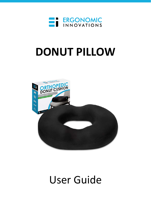

# **DONUT PILLOW**



## User Guide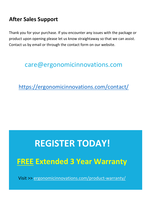### **After Sales Support**

Thank you for your purchase. If you encounter any issues with the package or product upon opening please let us know straightaway so that we can assist. Contact us by email or through the contact form on our website.

### care@ergonomicinnovations.com

<https://ergonomicinnovations.com/contact/>

# **REGISTER TODAY! FREE Extended 3 Year Warranty**

Visit >> [ergonomicinnovations.com/product-warranty/](https://ergonomicinnovations.com/product-warranty/)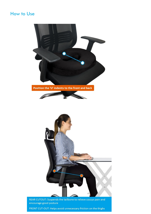#### How to Use

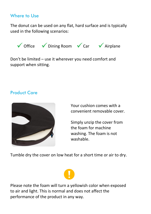#### Where to Use

The donut can be used on any flat, hard surface and is typically used in the following scenarios:



Don't be limited – use it wherever you need comfort and support when sitting.

#### Product Care



Your cushion comes with a convenient removable cover.

Simply unzip the cover from the foam for machine washing. The foam is not washable.

Tumble dry the cover on low heat for a short time or air to dry.

Please note the foam will turn a yellowish color when exposed to air and light. This is normal and does not affect the performance of the product in any way.